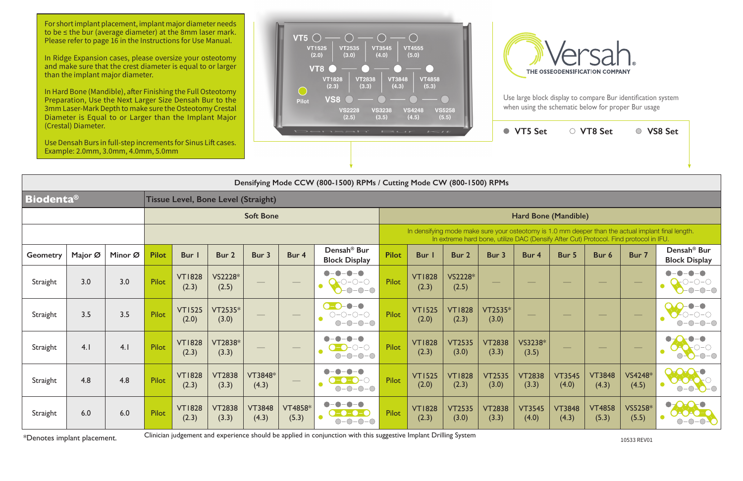Use large block display to compare Bur identification system when using the schematic below for proper Bur usage

| Densifying Mode CCW (800-1500) RPMs / Cutting Mode CW (800-1500) RPMs |                                            |         |                  |                        |                        |                        |                                |                                                                      |              |                                                                                                                                                                                             |                        |                        |                        |                        |                        |                                             |                                                 |  |  |
|-----------------------------------------------------------------------|--------------------------------------------|---------|------------------|------------------------|------------------------|------------------------|--------------------------------|----------------------------------------------------------------------|--------------|---------------------------------------------------------------------------------------------------------------------------------------------------------------------------------------------|------------------------|------------------------|------------------------|------------------------|------------------------|---------------------------------------------|-------------------------------------------------|--|--|
| <b>Biodenta®</b>                                                      | <b>Tissue Level, Bone Level (Straight)</b> |         |                  |                        |                        |                        |                                |                                                                      |              |                                                                                                                                                                                             |                        |                        |                        |                        |                        |                                             |                                                 |  |  |
|                                                                       |                                            |         | <b>Soft Bone</b> |                        |                        |                        |                                |                                                                      |              | Hard Bone (Mandible)                                                                                                                                                                        |                        |                        |                        |                        |                        |                                             |                                                 |  |  |
|                                                                       |                                            |         |                  |                        |                        |                        |                                |                                                                      |              | In densifying mode make sure your osteotomy is 1.0 mm deeper than the actual implant final length.<br>In extreme hard bone, utilize DAC (Densify After Cut) Protocol. Find protocol in IFU. |                        |                        |                        |                        |                        |                                             |                                                 |  |  |
| <b>Geometry</b>                                                       | Major Ø                                    | Minor Ø | <b>Pilot</b>     | <b>Bur</b>             | Bur 2                  | Bur 3                  | Bur 4                          | Densah <sup>®</sup> Bur<br><b>Block Display</b>                      | <b>Pilot</b> | <b>Bur</b>                                                                                                                                                                                  | Bur 2                  | Bur 3                  | Bur 4                  | Bur 5                  | Bur 6                  | Bur 7                                       | Densah <sup>®</sup> Bur<br><b>Block Display</b> |  |  |
| Straight                                                              | 3.0                                        | 3.0     | <b>Pilot</b>     | <b>VT1828</b><br>(2.3) | VS2228*<br>(2.5)       |                        | $\overbrace{\hspace{40pt}}^{}$ | $  -$<br>D-0-0<br>$-0-0-0$                                           | <b>Pilot</b> | <b>VT1828</b><br>(2.3)                                                                                                                                                                      | VS2228*<br>(2.5)       |                        |                        |                        |                        | $\hspace{1.0cm} \overbrace{\hspace{1.0cm}}$ |                                                 |  |  |
| Straight                                                              | 3.5                                        | 3.5     | <b>Pilot</b>     | <b>VT1525</b><br>(2.0) | $VT2535*$<br>(3.0)     |                        | $\overline{\phantom{a}}$       | $  \bullet$<br>$O-O-O-O$<br>$-0-0-0$<br>$\bigcirc$ -                 | <b>Pilot</b> | <b>VT1525</b><br>(2.0)                                                                                                                                                                      | <b>VT1828</b><br>(2.3) | VT2535*<br>(3.0)       |                        |                        |                        | $\hspace{1.0cm} \overbrace{\hspace{1.0cm}}$ |                                                 |  |  |
| Straight                                                              | 4.1                                        | 4.1     | <b>Pilot</b>     | <b>VT1828</b><br>(2.3) | VT2838*<br>(3.3)       |                        |                                |                                                                      | Pilot        | <b>VT1828</b><br>(2.3)                                                                                                                                                                      | <b>VT2535</b><br>(3.0) | <b>VT2838</b><br>(3.3) | VS3238*<br>(3.5)       |                        |                        |                                             |                                                 |  |  |
| Straight                                                              | 4.8                                        | 4.8     | <b>Pilot</b>     | <b>VT1828</b><br>(2.3) | <b>VT2838</b><br>(3.3) | VT3848*<br>(4.3)       | $\qquad \qquad$                | $\qquad \qquad \blacksquare$<br>$\bullet$<br>$-\bigcirc$ $-\bigcirc$ | Pilot        | <b>VT1525</b><br>(2.0)                                                                                                                                                                      | <b>VT1828</b><br>(2.3) | <b>VT2535</b><br>(3.0) | <b>VT2838</b><br>(3.3) | <b>VT3545</b><br>(4.0) | <b>VT3848</b><br>(4.3) | VS4248*<br>(4.5)                            | $\bullet$<br>$\bigcirc$ $\bigcirc$              |  |  |
| Straight                                                              | 6.0                                        | 6.0     | Pilot            | <b>VT1828</b><br>(2.3) | <b>VT2838</b><br>(3.3) | <b>VT3848</b><br>(4.3) | <b>VT4858*</b><br>(5.3)        | -0-0<br>$\bullet$<br>-0-0-0<br>$-0-0-0$                              | Pilot        | <b>VT1828</b><br>(2.3)                                                                                                                                                                      | <b>VT2535</b><br>(3.0) | <b>VT2838</b><br>(3.3) | <b>VT3545</b><br>(4.0) | <b>VT3848</b><br>(4.3) | <b>VT4858</b><br>(5.3) | VS5258*<br>(5.5)                            | $\bullet$<br>$-0$ -O-C                          |  |  |



For short implant placement, implant major diameter needs to be ≤ the bur (average diameter) at the 8mm laser mark. Please refer to page 16 in the Instructions for Use Manual.

\*Denotes implant placement. <sup>10533</sup>REV0<sup>1</sup> Clinician judgement and experience should be applied in conjunction with this suggestive Implant Drilling System

In Ridge Expansion cases, please oversize your osteotomy and make sure that the crest diameter is equal to or larger than the implant major diameter.

In Hard Bone (Mandible), after Finishing the Full Osteotomy Preparation, Use the Next Larger Size Densah Bur to the 3mm Laser-Mark Depth to make sure the Osteotomy Crestal Diameter is Equal to or Larger than the Implant Major (Crestal) Diameter.

Use Densah Burs in full-step increments for Sinus Lift cases. Example: 2.0mm, 3.0mm, 4.0mm, 5.0mm